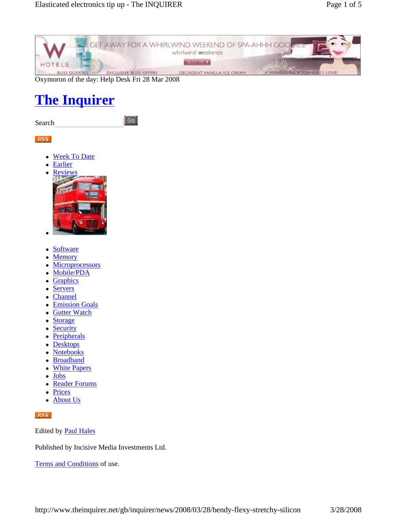

Oxymoron of the day: Help Desk Fri 28 Mar 2008

# **The Inquirer**

Search

 $\boxed{60}$ 

### RSS

- Week To Date
- **Earlier**



- Software
- Memory
- **Microprocessors**
- Mobile/PDA
- **Graphics**
- **Servers**
- Channel
- **Emission Goals**
- Gutter Watch
- Storage
- Security
- Peripherals
- Desktops
- **Notebooks**
- Broadband
- White Papers
- Jobs
- Reader Forums
- Prices
- About Us

### RSS

Edited by Paul Hales

Published by Incisive Media Investments Ltd.

Terms and Conditions of use.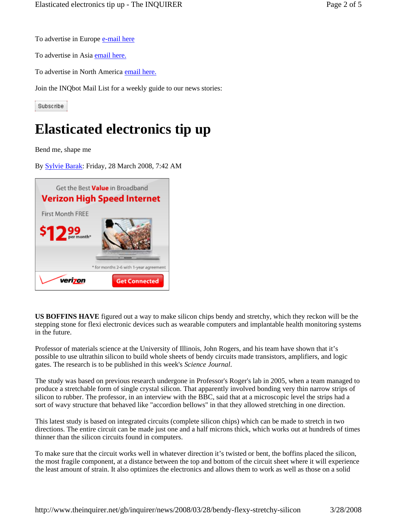To advertise in Europe e-mail here

To advertise in Asia email here.

To advertise in North America email here.

Join the INQbot Mail List for a weekly guide to our news stories:

Subscribe

# **Elasticated electronics tip up**

Bend me, shape me

 $\overline{\phantom{a}}$ 

By Sylvie Barak: Friday, 28 March 2008, 7:42 AM



**US BOFFINS HAVE** figured out a way to make silicon chips bendy and stretchy, which they reckon will be the stepping stone for flexi electronic devices such as wearable computers and implantable health monitoring systems in the future.

Professor of materials science at the University of Illinois, John Rogers, and his team have shown that it's possible to use ultrathin silicon to build whole sheets of bendy circuits made transistors, amplifiers, and logic gates. The research is to be published in this week's *Science Journal*.

The study was based on previous research undergone in Professor's Roger's lab in 2005, when a team managed to produce a stretchable form of single crystal silicon. That apparently involved bonding very thin narrow strips of silicon to rubber. The professor, in an interview with the BBC, said that at a microscopic level the strips had a sort of wavy structure that behaved like "accordion bellows" in that they allowed stretching in one direction.

This latest study is based on integrated circuits (complete silicon chips) which can be made to stretch in two directions. The entire circuit can be made just one and a half microns thick, which works out at hundreds of times thinner than the silicon circuits found in computers.

To make sure that the circuit works well in whatever direction it's twisted or bent, the boffins placed the silicon, the most fragile component, at a distance between the top and bottom of the circuit sheet where it will experience the least amount of strain. It also optimizes the electronics and allows them to work as well as those on a solid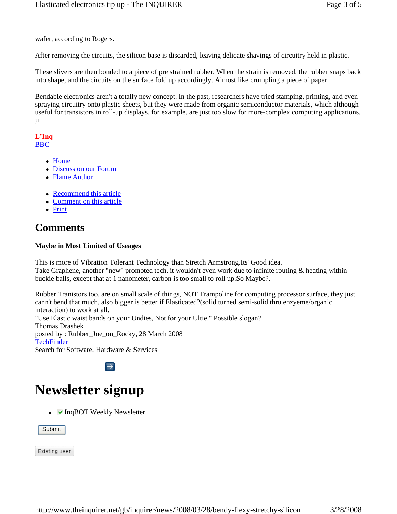wafer, according to Rogers.

After removing the circuits, the silicon base is discarded, leaving delicate shavings of circuitry held in plastic.

These slivers are then bonded to a piece of pre strained rubber. When the strain is removed, the rubber snaps back into shape, and the circuits on the surface fold up accordingly. Almost like crumpling a piece of paper.

Bendable electronics aren't a totally new concept. In the past, researchers have tried stamping, printing, and even spraying circuitry onto plastic sheets, but they were made from organic semiconductor materials, which although useful for transistors in roll-up displays, for example, are just too slow for more-complex computing applications.  $\mu$ 

#### **L'Inq** BBC

- Home
- Discuss on our Forum
- Flame Author
- Recommend this article
- Comment on this article
- Print

## **Comments**

### **Maybe in Most Limited of Useages**

This is more of Vibration Tolerant Technology than Stretch Armstrong.Its' Good idea. Take Graphene, another "new" promoted tech, it wouldn't even work due to infinite routing & heating within buckie balls, except that at 1 nanometer, carbon is too small to roll up.So Maybe?.

Rubber Tranistors too, are on small scale of things, NOT Trampoline for computing processor surface, they just cann't bend that much, also bigger is better if Elasticated?(solid turned semi-solid thru enzyeme/organic interaction) to work at all. "Use Elastic waist bands on your Undies, Not for your Ultie." Possible slogan? Thomas Drashek posted by : Rubber\_Joe\_on\_Rocky, 28 March 2008 **TechFinder** 

Search for Software, Hardware & Services



 $\overline{\phantom{a}}$ 

## **Newsletter signup**

 $\bullet$   $\blacksquare$  InqBOT Weekly Newsletter

Submit

Existing user

 $\overline{\phantom{a}}$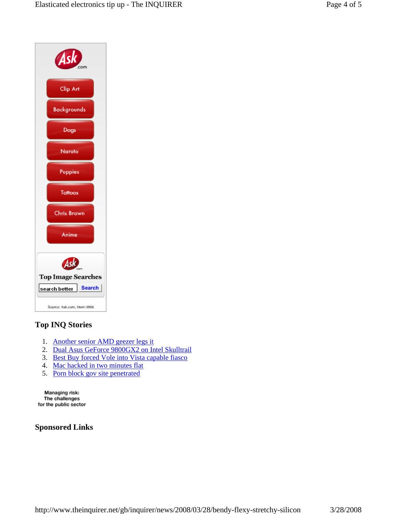

## **Top INQ Stories**

- 1. Another senior AMD geezer legs it
- 2. Dual Asus GeForce 9800GX2 on Intel Skulltrail
- 3. Best Buy forced Vole into Vista capable fiasco
- 4. Mac hacked in two minutes flat
- 5. Porn block gov site penetrated

Managing risk: The challenges for the public sector

## **Sponsored Links**